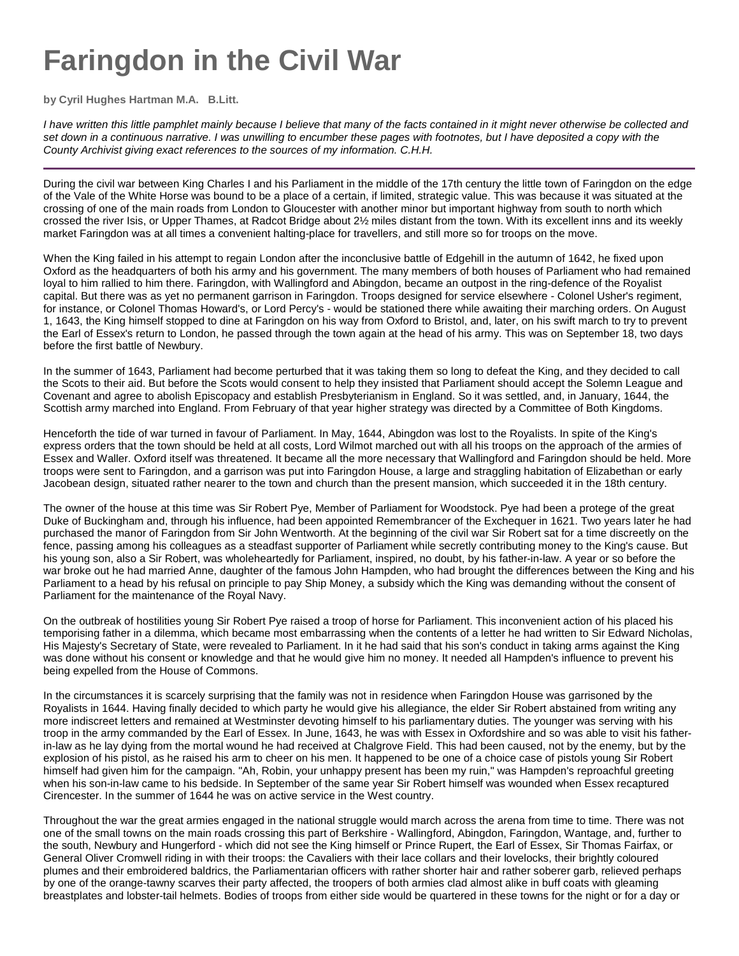## **Faringdon in the Civil War**

**by Cyril Hughes Hartman M.A. B.Litt.**

I have written this little pamphlet mainly because I believe that many of the facts contained in it might never otherwise be collected and set down in a continuous narrative. I was unwilling to encumber these pages with footnotes, but I have deposited a copy with the County Archivist giving exact references to the sources of my information. C.H.H.

During the civil war between King Charles I and his Parliament in the middle of the 17th century the little town of Faringdon on the edge of the Vale of the White Horse was bound to be a place of a certain, if limited, strategic value. This was because it was situated at the crossing of one of the main roads from London to Gloucester with another minor but important highway from south to north which crossed the river Isis, or Upper Thames, at Radcot Bridge about 2½ miles distant from the town. With its excellent inns and its weekly market Faringdon was at all times a convenient halting-place for travellers, and still more so for troops on the move.

When the King failed in his attempt to regain London after the inconclusive battle of Edgehill in the autumn of 1642, he fixed upon Oxford as the headquarters of both his army and his government. The many members of both houses of Parliament who had remained loyal to him rallied to him there. Faringdon, with Wallingford and Abingdon, became an outpost in the ring-defence of the Royalist capital. But there was as yet no permanent garrison in Faringdon. Troops designed for service elsewhere - Colonel Usher's regiment, for instance, or Colonel Thomas Howard's, or Lord Percy's - would be stationed there while awaiting their marching orders. On August 1, 1643, the King himself stopped to dine at Faringdon on his way from Oxford to Bristol, and, later, on his swift march to try to prevent the Earl of Essex's return to London, he passed through the town again at the head of his army. This was on September 18, two days before the first battle of Newbury.

In the summer of 1643, Parliament had become perturbed that it was taking them so long to defeat the King, and they decided to call the Scots to their aid. But before the Scots would consent to help they insisted that Parliament should accept the Solemn League and Covenant and agree to abolish Episcopacy and establish Presbyterianism in England. So it was settled, and, in January, 1644, the Scottish army marched into England. From February of that year higher strategy was directed by a Committee of Both Kingdoms.

Henceforth the tide of war turned in favour of Parliament. In May, 1644, Abingdon was lost to the Royalists. In spite of the King's express orders that the town should be held at all costs, Lord Wilmot marched out with all his troops on the approach of the armies of Essex and Waller. Oxford itself was threatened. It became all the more necessary that Wallingford and Faringdon should be held. More troops were sent to Faringdon, and a garrison was put into Faringdon House, a large and straggling habitation of Elizabethan or early Jacobean design, situated rather nearer to the town and church than the present mansion, which succeeded it in the 18th century.

The owner of the house at this time was Sir Robert Pye, Member of Parliament for Woodstock. Pye had been a protege of the great Duke of Buckingham and, through his influence, had been appointed Remembrancer of the Exchequer in 1621. Two years later he had purchased the manor of Faringdon from Sir John Wentworth. At the beginning of the civil war Sir Robert sat for a time discreetly on the fence, passing among his colleagues as a steadfast supporter of Parliament while secretly contributing money to the King's cause. But his young son, also a Sir Robert, was wholeheartedly for Parliament, inspired, no doubt, by his father-in-law. A year or so before the war broke out he had married Anne, daughter of the famous John Hampden, who had brought the differences between the King and his Parliament to a head by his refusal on principle to pay Ship Money, a subsidy which the King was demanding without the consent of Parliament for the maintenance of the Royal Navy.

On the outbreak of hostilities young Sir Robert Pye raised a troop of horse for Parliament. This inconvenient action of his placed his temporising father in a dilemma, which became most embarrassing when the contents of a letter he had written to Sir Edward Nicholas, His Majesty's Secretary of State, were revealed to Parliament. In it he had said that his son's conduct in taking arms against the King was done without his consent or knowledge and that he would give him no money. It needed all Hampden's influence to prevent his being expelled from the House of Commons.

In the circumstances it is scarcely surprising that the family was not in residence when Faringdon House was garrisoned by the Royalists in 1644. Having finally decided to which party he would give his allegiance, the elder Sir Robert abstained from writing any more indiscreet letters and remained at Westminster devoting himself to his parliamentary duties. The younger was serving with his troop in the army commanded by the Earl of Essex. In June, 1643, he was with Essex in Oxfordshire and so was able to visit his fatherin-law as he lay dying from the mortal wound he had received at Chalgrove Field. This had been caused, not by the enemy, but by the explosion of his pistol, as he raised his arm to cheer on his men. It happened to be one of a choice case of pistols young Sir Robert himself had given him for the campaign. "Ah, Robin, your unhappy present has been my ruin," was Hampden's reproachful greeting when his son-in-law came to his bedside. In September of the same year Sir Robert himself was wounded when Essex recaptured Cirencester. In the summer of 1644 he was on active service in the West country.

Throughout the war the great armies engaged in the national struggle would march across the arena from time to time. There was not one of the small towns on the main roads crossing this part of Berkshire - Wallingford, Abingdon, Faringdon, Wantage, and, further to the south, Newbury and Hungerford - which did not see the King himself or Prince Rupert, the Earl of Essex, Sir Thomas Fairfax, or General Oliver Cromwell riding in with their troops: the Cavaliers with their lace collars and their lovelocks, their brightly coloured plumes and their embroidered baldrics, the Parliamentarian officers with rather shorter hair and rather soberer garb, relieved perhaps by one of the orange-tawny scarves their party affected, the troopers of both armies clad almost alike in buff coats with gleaming breastplates and lobster-tail helmets. Bodies of troops from either side would be quartered in these towns for the night or for a day or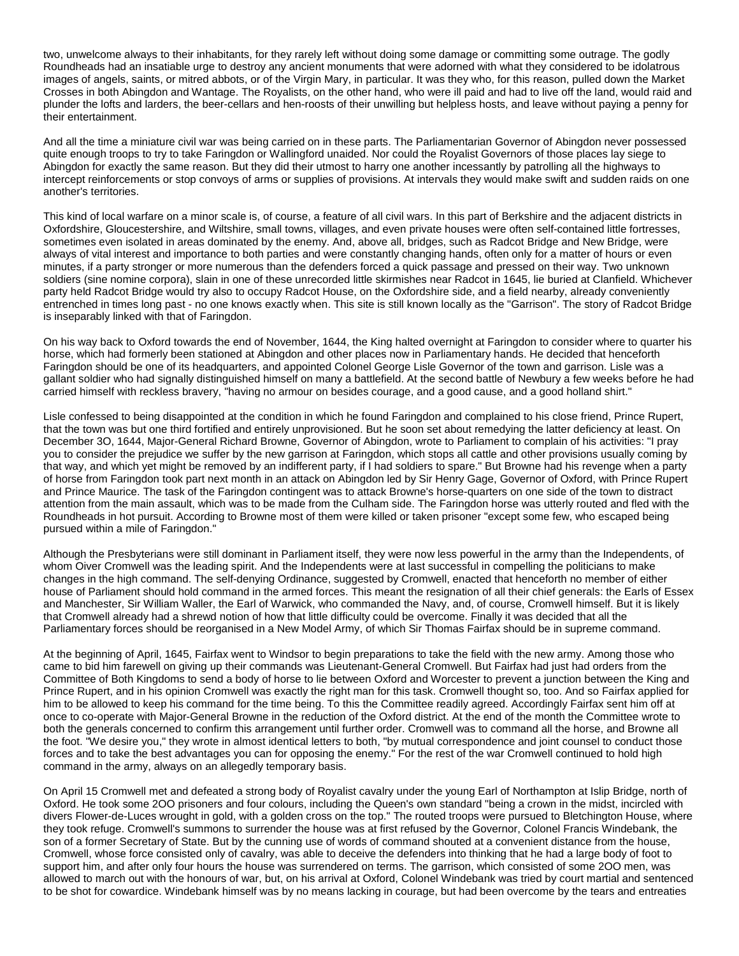two, unwelcome always to their inhabitants, for they rarely left without doing some damage or committing some outrage. The godly Roundheads had an insatiable urge to destroy any ancient monuments that were adorned with what they considered to be idolatrous images of angels, saints, or mitred abbots, or of the Virgin Mary, in particular. It was they who, for this reason, pulled down the Market Crosses in both Abingdon and Wantage. The Royalists, on the other hand, who were ill paid and had to live off the land, would raid and plunder the lofts and larders, the beer-cellars and hen-roosts of their unwilling but helpless hosts, and leave without paying a penny for their entertainment.

And all the time a miniature civil war was being carried on in these parts. The Parliamentarian Governor of Abingdon never possessed quite enough troops to try to take Faringdon or Wallingford unaided. Nor could the Royalist Governors of those places lay siege to Abingdon for exactly the same reason. But they did their utmost to harry one another incessantly by patrolling all the highways to intercept reinforcements or stop convoys of arms or supplies of provisions. At intervals they would make swift and sudden raids on one another's territories.

This kind of local warfare on a minor scale is, of course, a feature of all civil wars. In this part of Berkshire and the adjacent districts in Oxfordshire, Gloucestershire, and Wiltshire, small towns, villages, and even private houses were often self-contained little fortresses, sometimes even isolated in areas dominated by the enemy. And, above all, bridges, such as Radcot Bridge and New Bridge, were always of vital interest and importance to both parties and were constantly changing hands, often only for a matter of hours or even minutes, if a party stronger or more numerous than the defenders forced a quick passage and pressed on their way. Two unknown soldiers (sine nomine corpora), slain in one of these unrecorded little skirmishes near Radcot in 1645, lie buried at Clanfield. Whichever party held Radcot Bridge would try also to occupy Radcot House, on the Oxfordshire side, and a field nearby, already conveniently entrenched in times long past - no one knows exactly when. This site is still known locally as the "Garrison". The story of Radcot Bridge is inseparably linked with that of Faringdon.

On his way back to Oxford towards the end of November, 1644, the King halted overnight at Faringdon to consider where to quarter his horse, which had formerly been stationed at Abingdon and other places now in Parliamentary hands. He decided that henceforth Faringdon should be one of its headquarters, and appointed Colonel George Lisle Governor of the town and garrison. Lisle was a gallant soldier who had signally distinguished himself on many a battlefield. At the second battle of Newbury a few weeks before he had carried himself with reckless bravery, "having no armour on besides courage, and a good cause, and a good holland shirt."

Lisle confessed to being disappointed at the condition in which he found Faringdon and complained to his close friend, Prince Rupert, that the town was but one third fortified and entirely unprovisioned. But he soon set about remedying the latter deficiency at least. On December 3O, 1644, Major-General Richard Browne, Governor of Abingdon, wrote to Parliament to complain of his activities: "I pray you to consider the prejudice we suffer by the new garrison at Faringdon, which stops all cattle and other provisions usually coming by that way, and which yet might be removed by an indifferent party, if I had soldiers to spare." But Browne had his revenge when a party of horse from Faringdon took part next month in an attack on Abingdon led by Sir Henry Gage, Governor of Oxford, with Prince Rupert and Prince Maurice. The task of the Faringdon contingent was to attack Browne's horse-quarters on one side of the town to distract attention from the main assault, which was to be made from the Culham side. The Faringdon horse was utterly routed and fled with the Roundheads in hot pursuit. According to Browne most of them were killed or taken prisoner "except some few, who escaped being pursued within a mile of Faringdon."

Although the Presbyterians were still dominant in Parliament itself, they were now less powerful in the army than the Independents, of whom Oiver Cromwell was the leading spirit. And the Independents were at last successful in compelling the politicians to make changes in the high command. The self-denying Ordinance, suggested by Cromwell, enacted that henceforth no member of either house of Parliament should hold command in the armed forces. This meant the resignation of all their chief generals: the Earls of Essex and Manchester, Sir William Waller, the Earl of Warwick, who commanded the Navy, and, of course, Cromwell himself. But it is likely that Cromwell already had a shrewd notion of how that little difficulty could be overcome. Finally it was decided that all the Parliamentary forces should be reorganised in a New Model Army, of which Sir Thomas Fairfax should be in supreme command.

At the beginning of April, 1645, Fairfax went to Windsor to begin preparations to take the field with the new army. Among those who came to bid him farewell on giving up their commands was Lieutenant-General Cromwell. But Fairfax had just had orders from the Committee of Both Kingdoms to send a body of horse to lie between Oxford and Worcester to prevent a junction between the King and Prince Rupert, and in his opinion Cromwell was exactly the right man for this task. Cromwell thought so, too. And so Fairfax applied for him to be allowed to keep his command for the time being. To this the Committee readily agreed. Accordingly Fairfax sent him off at once to co-operate with Major-General Browne in the reduction of the Oxford district. At the end of the month the Committee wrote to both the generals concerned to confirm this arrangement until further order. Cromwell was to command all the horse, and Browne all the foot. "We desire you," they wrote in almost identical letters to both, "by mutual correspondence and joint counsel to conduct those forces and to take the best advantages you can for opposing the enemy." For the rest of the war Cromwell continued to hold high command in the army, always on an allegedly temporary basis.

On April 15 Cromwell met and defeated a strong body of Royalist cavalry under the young Earl of Northampton at Islip Bridge, north of Oxford. He took some 2OO prisoners and four colours, including the Queen's own standard "being a crown in the midst, incircled with divers Flower-de-Luces wrought in gold, with a golden cross on the top." The routed troops were pursued to Bletchington House, where they took refuge. Cromwell's summons to surrender the house was at first refused by the Governor, Colonel Francis Windebank, the son of a former Secretary of State. But by the cunning use of words of command shouted at a convenient distance from the house, Cromwell, whose force consisted only of cavalry, was able to deceive the defenders into thinking that he had a large body of foot to support him, and after only four hours the house was surrendered on terms. The garrison, which consisted of some 2OO men, was allowed to march out with the honours of war, but, on his arrival at Oxford, Colonel Windebank was tried by court martial and sentenced to be shot for cowardice. Windebank himself was by no means lacking in courage, but had been overcome by the tears and entreaties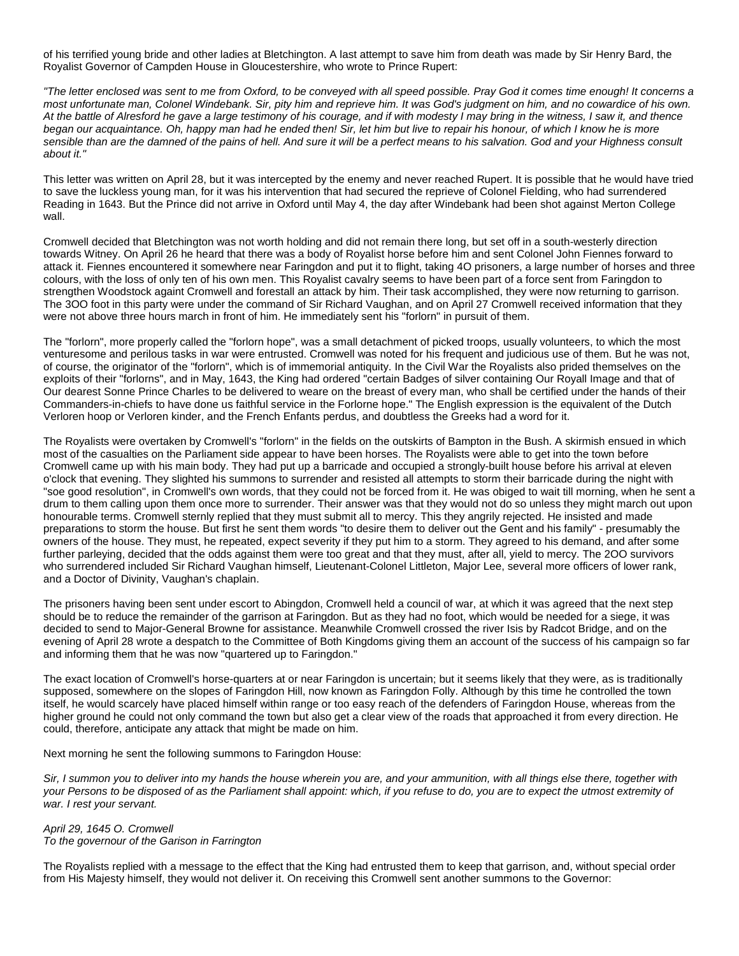of his terrified young bride and other ladies at Bletchington. A last attempt to save him from death was made by Sir Henry Bard, the Royalist Governor of Campden House in Gloucestershire, who wrote to Prince Rupert:

"The letter enclosed was sent to me from Oxford, to be conveyed with all speed possible. Pray God it comes time enough! It concerns a most unfortunate man, Colonel Windebank. Sir, pity him and reprieve him. It was God's judgment on him, and no cowardice of his own. At the battle of Alresford he gave a large testimony of his courage, and if with modesty I may bring in the witness, I saw it, and thence began our acquaintance. Oh, happy man had he ended then! Sir, let him but live to repair his honour, of which I know he is more sensible than are the damned of the pains of hell. And sure it will be a perfect means to his salvation. God and your Highness consult about it."

This letter was written on April 28, but it was intercepted by the enemy and never reached Rupert. It is possible that he would have tried to save the luckless young man, for it was his intervention that had secured the reprieve of Colonel Fielding, who had surrendered Reading in 1643. But the Prince did not arrive in Oxford until May 4, the day after Windebank had been shot against Merton College wall.

Cromwell decided that Bletchington was not worth holding and did not remain there long, but set off in a south-westerly direction towards Witney. On April 26 he heard that there was a body of Royalist horse before him and sent Colonel John Fiennes forward to attack it. Fiennes encountered it somewhere near Faringdon and put it to flight, taking 4O prisoners, a large number of horses and three colours, with the loss of only ten of his own men. This Royalist cavalry seems to have been part of a force sent from Faringdon to strengthen Woodstock againt Cromwell and forestall an attack by him. Their task accomplished, they were now returning to garrison. The 3OO foot in this party were under the command of Sir Richard Vaughan, and on April 27 Cromwell received information that they were not above three hours march in front of him. He immediately sent his "forlorn" in pursuit of them.

The "forlorn", more properly called the "forlorn hope", was a small detachment of picked troops, usually volunteers, to which the most venturesome and perilous tasks in war were entrusted. Cromwell was noted for his frequent and judicious use of them. But he was not, of course, the originator of the "forlorn", which is of immemorial antiquity. In the Civil War the Royalists also prided themselves on the exploits of their "forlorns", and in May, 1643, the King had ordered "certain Badges of silver containing Our Royall Image and that of Our dearest Sonne Prince Charles to be delivered to weare on the breast of every man, who shall be certified under the hands of their Commanders-in-chiefs to have done us faithful service in the Forlorne hope." The English expression is the equivalent of the Dutch Verloren hoop or Verloren kinder, and the French Enfants perdus, and doubtless the Greeks had a word for it.

The Royalists were overtaken by Cromwell's "forlorn" in the fields on the outskirts of Bampton in the Bush. A skirmish ensued in which most of the casualties on the Parliament side appear to have been horses. The Royalists were able to get into the town before Cromwell came up with his main body. They had put up a barricade and occupied a strongly-built house before his arrival at eleven o'clock that evening. They slighted his summons to surrender and resisted all attempts to storm their barricade during the night with "soe good resolution", in Cromwell's own words, that they could not be forced from it. He was obiged to wait till morning, when he sent a drum to them calling upon them once more to surrender. Their answer was that they would not do so unless they might march out upon honourable terms. Cromwell sternly replied that they must submit all to mercy. This they angrily rejected. He insisted and made preparations to storm the house. But first he sent them words "to desire them to deliver out the Gent and his family" - presumably the owners of the house. They must, he repeated, expect severity if they put him to a storm. They agreed to his demand, and after some further parleying, decided that the odds against them were too great and that they must, after all, yield to mercy. The 2OO survivors who surrendered included Sir Richard Vaughan himself, Lieutenant-Colonel Littleton, Major Lee, several more officers of lower rank, and a Doctor of Divinity, Vaughan's chaplain.

The prisoners having been sent under escort to Abingdon, Cromwell held a council of war, at which it was agreed that the next step should be to reduce the remainder of the garrison at Faringdon. But as they had no foot, which would be needed for a siege, it was decided to send to Major-General Browne for assistance. Meanwhile Cromwell crossed the river Isis by Radcot Bridge, and on the evening of April 28 wrote a despatch to the Committee of Both Kingdoms giving them an account of the success of his campaign so far and informing them that he was now "quartered up to Faringdon."

The exact location of Cromwell's horse-quarters at or near Faringdon is uncertain; but it seems likely that they were, as is traditionally supposed, somewhere on the slopes of Faringdon Hill, now known as Faringdon Folly. Although by this time he controlled the town itself, he would scarcely have placed himself within range or too easy reach of the defenders of Faringdon House, whereas from the higher ground he could not only command the town but also get a clear view of the roads that approached it from every direction. He could, therefore, anticipate any attack that might be made on him.

Next morning he sent the following summons to Faringdon House:

Sir, I summon you to deliver into my hands the house wherein you are, and your ammunition, with all things else there, together with your Persons to be disposed of as the Parliament shall appoint: which, if you refuse to do, you are to expect the utmost extremity of war. I rest your servant.

## April 29, 1645 O. Cromwell To the governour of the Garison in Farrington

The Royalists replied with a message to the effect that the King had entrusted them to keep that garrison, and, without special order from His Majesty himself, they would not deliver it. On receiving this Cromwell sent another summons to the Governor: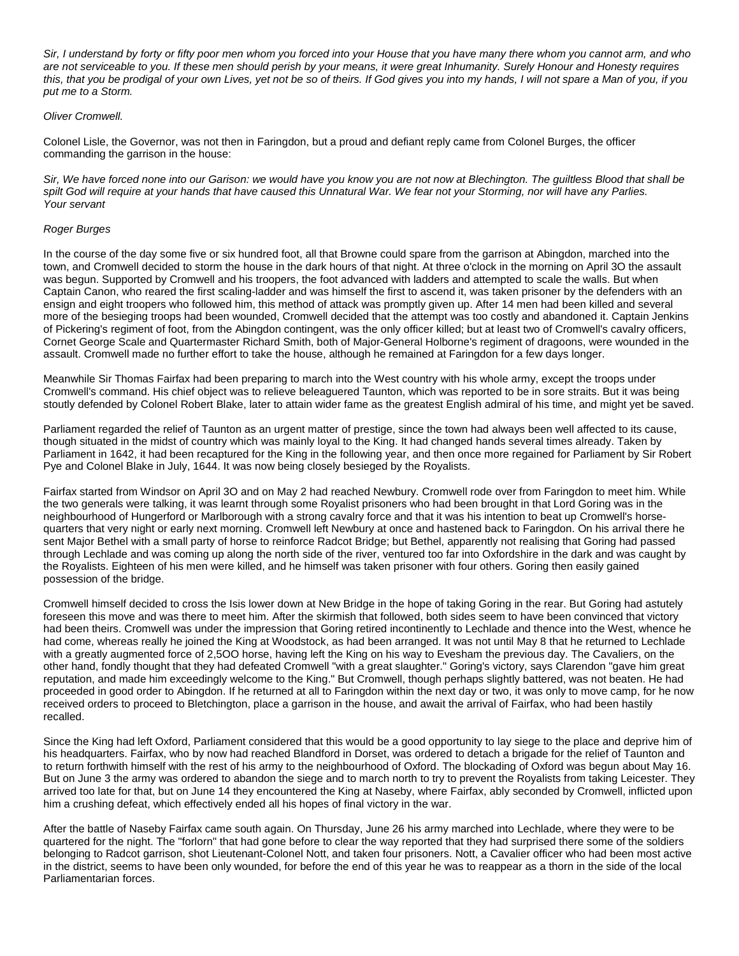Sir, I understand by forty or fifty poor men whom you forced into your House that you have many there whom you cannot arm, and who are not serviceable to you. If these men should perish by your means, it were great Inhumanity. Surely Honour and Honesty requires this, that you be prodigal of your own Lives, yet not be so of theirs. If God gives you into my hands, I will not spare a Man of you, if you put me to a Storm.

## Oliver Cromwell.

Colonel Lisle, the Governor, was not then in Faringdon, but a proud and defiant reply came from Colonel Burges, the officer commanding the garrison in the house:

Sir, We have forced none into our Garison: we would have you know you are not now at Blechington. The guiltless Blood that shall be spilt God will require at your hands that have caused this Unnatural War. We fear not your Storming, nor will have any Parlies. Your servant

## Roger Burges

In the course of the day some five or six hundred foot, all that Browne could spare from the garrison at Abingdon, marched into the town, and Cromwell decided to storm the house in the dark hours of that night. At three o'clock in the morning on April 3O the assault was begun. Supported by Cromwell and his troopers, the foot advanced with ladders and attempted to scale the walls. But when Captain Canon, who reared the first scaling-ladder and was himself the first to ascend it, was taken prisoner by the defenders with an ensign and eight troopers who followed him, this method of attack was promptly given up. After 14 men had been killed and several more of the besieging troops had been wounded, Cromwell decided that the attempt was too costly and abandoned it. Captain Jenkins of Pickering's regiment of foot, from the Abingdon contingent, was the only officer killed; but at least two of Cromwell's cavalry officers, Cornet George Scale and Quartermaster Richard Smith, both of Major-General Holborne's regiment of dragoons, were wounded in the assault. Cromwell made no further effort to take the house, although he remained at Faringdon for a few days longer.

Meanwhile Sir Thomas Fairfax had been preparing to march into the West country with his whole army, except the troops under Cromwell's command. His chief object was to relieve beleaguered Taunton, which was reported to be in sore straits. But it was being stoutly defended by Colonel Robert Blake, later to attain wider fame as the greatest English admiral of his time, and might yet be saved.

Parliament regarded the relief of Taunton as an urgent matter of prestige, since the town had always been well affected to its cause, though situated in the midst of country which was mainly loyal to the King. It had changed hands several times already. Taken by Parliament in 1642, it had been recaptured for the King in the following year, and then once more regained for Parliament by Sir Robert Pye and Colonel Blake in July, 1644. It was now being closely besieged by the Royalists.

Fairfax started from Windsor on April 3O and on May 2 had reached Newbury. Cromwell rode over from Faringdon to meet him. While the two generals were talking, it was learnt through some Royalist prisoners who had been brought in that Lord Goring was in the neighbourhood of Hungerford or Marlborough with a strong cavalry force and that it was his intention to beat up Cromwell's horsequarters that very night or early next morning. Cromwell left Newbury at once and hastened back to Faringdon. On his arrival there he sent Major Bethel with a small party of horse to reinforce Radcot Bridge; but Bethel, apparently not realising that Goring had passed through Lechlade and was coming up along the north side of the river, ventured too far into Oxfordshire in the dark and was caught by the Royalists. Eighteen of his men were killed, and he himself was taken prisoner with four others. Goring then easily gained possession of the bridge.

Cromwell himself decided to cross the Isis lower down at New Bridge in the hope of taking Goring in the rear. But Goring had astutely foreseen this move and was there to meet him. After the skirmish that followed, both sides seem to have been convinced that victory had been theirs. Cromwell was under the impression that Goring retired incontinently to Lechlade and thence into the West, whence he had come, whereas really he joined the King at Woodstock, as had been arranged. It was not until May 8 that he returned to Lechlade with a greatly augmented force of 2,5OO horse, having left the King on his way to Evesham the previous day. The Cavaliers, on the other hand, fondly thought that they had defeated Cromwell "with a great slaughter." Goring's victory, says Clarendon "gave him great reputation, and made him exceedingly welcome to the King." But Cromwell, though perhaps slightly battered, was not beaten. He had proceeded in good order to Abingdon. If he returned at all to Faringdon within the next day or two, it was only to move camp, for he now received orders to proceed to Bletchington, place a garrison in the house, and await the arrival of Fairfax, who had been hastily recalled.

Since the King had left Oxford, Parliament considered that this would be a good opportunity to lay siege to the place and deprive him of his headquarters. Fairfax, who by now had reached Blandford in Dorset, was ordered to detach a brigade for the relief of Taunton and to return forthwith himself with the rest of his army to the neighbourhood of Oxford. The blockading of Oxford was begun about May 16. But on June 3 the army was ordered to abandon the siege and to march north to try to prevent the Royalists from taking Leicester. They arrived too late for that, but on June 14 they encountered the King at Naseby, where Fairfax, ably seconded by Cromwell, inflicted upon him a crushing defeat, which effectively ended all his hopes of final victory in the war.

After the battle of Naseby Fairfax came south again. On Thursday, June 26 his army marched into Lechlade, where they were to be quartered for the night. The "forlorn" that had gone before to clear the way reported that they had surprised there some of the soldiers belonging to Radcot garrison, shot Lieutenant-Colonel Nott, and taken four prisoners. Nott, a Cavalier officer who had been most active in the district, seems to have been only wounded, for before the end of this year he was to reappear as a thorn in the side of the local Parliamentarian forces.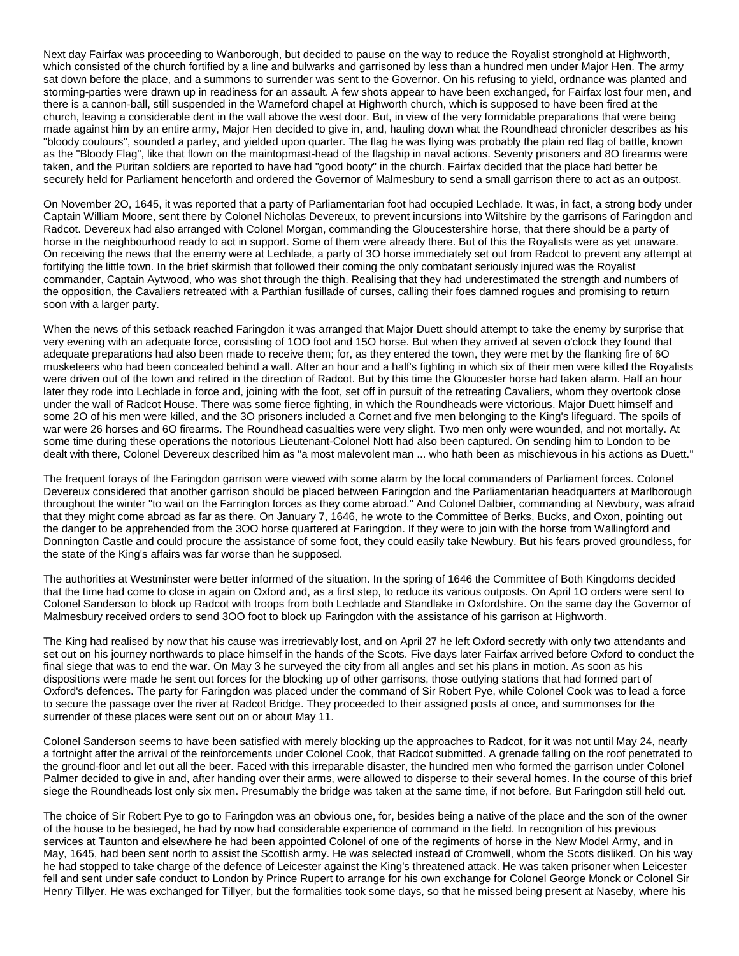Next day Fairfax was proceeding to Wanborough, but decided to pause on the way to reduce the Royalist stronghold at Highworth, which consisted of the church fortified by a line and bulwarks and garrisoned by less than a hundred men under Major Hen. The army sat down before the place, and a summons to surrender was sent to the Governor. On his refusing to yield, ordnance was planted and storming-parties were drawn up in readiness for an assault. A few shots appear to have been exchanged, for Fairfax lost four men, and there is a cannon-ball, still suspended in the Warneford chapel at Highworth church, which is supposed to have been fired at the church, leaving a considerable dent in the wall above the west door. But, in view of the very formidable preparations that were being made against him by an entire army, Major Hen decided to give in, and, hauling down what the Roundhead chronicler describes as his "bloody coulours", sounded a parley, and yielded upon quarter. The flag he was flying was probably the plain red flag of battle, known as the "Bloody Flag", like that flown on the maintopmast-head of the flagship in naval actions. Seventy prisoners and 8O firearms were taken, and the Puritan soldiers are reported to have had "good booty" in the church. Fairfax decided that the place had better be securely held for Parliament henceforth and ordered the Governor of Malmesbury to send a small garrison there to act as an outpost.

On November 2O, 1645, it was reported that a party of Parliamentarian foot had occupied Lechlade. It was, in fact, a strong body under Captain William Moore, sent there by Colonel Nicholas Devereux, to prevent incursions into Wiltshire by the garrisons of Faringdon and Radcot. Devereux had also arranged with Colonel Morgan, commanding the Gloucestershire horse, that there should be a party of horse in the neighbourhood ready to act in support. Some of them were already there. But of this the Royalists were as yet unaware. On receiving the news that the enemy were at Lechlade, a party of 3O horse immediately set out from Radcot to prevent any attempt at fortifying the little town. In the brief skirmish that followed their coming the only combatant seriously injured was the Royalist commander, Captain Aytwood, who was shot through the thigh. Realising that they had underestimated the strength and numbers of the opposition, the Cavaliers retreated with a Parthian fusillade of curses, calling their foes damned rogues and promising to return soon with a larger party.

When the news of this setback reached Faringdon it was arranged that Major Duett should attempt to take the enemy by surprise that very evening with an adequate force, consisting of 1OO foot and 15O horse. But when they arrived at seven o'clock they found that adequate preparations had also been made to receive them; for, as they entered the town, they were met by the flanking fire of 6O musketeers who had been concealed behind a wall. After an hour and a half's fighting in which six of their men were killed the Royalists were driven out of the town and retired in the direction of Radcot. But by this time the Gloucester horse had taken alarm. Half an hour later they rode into Lechlade in force and, joining with the foot, set off in pursuit of the retreating Cavaliers, whom they overtook close under the wall of Radcot House. There was some fierce fighting, in which the Roundheads were victorious. Major Duett himself and some 2O of his men were killed, and the 3O prisoners included a Cornet and five men belonging to the King's lifeguard. The spoils of war were 26 horses and 6O firearms. The Roundhead casualties were very slight. Two men only were wounded, and not mortally. At some time during these operations the notorious Lieutenant-Colonel Nott had also been captured. On sending him to London to be dealt with there, Colonel Devereux described him as "a most malevolent man ... who hath been as mischievous in his actions as Duett."

The frequent forays of the Faringdon garrison were viewed with some alarm by the local commanders of Parliament forces. Colonel Devereux considered that another garrison should be placed between Faringdon and the Parliamentarian headquarters at Marlborough throughout the winter "to wait on the Farrington forces as they come abroad." And Colonel Dalbier, commanding at Newbury, was afraid that they might come abroad as far as there. On January 7, 1646, he wrote to the Committee of Berks, Bucks, and Oxon, pointing out the danger to be apprehended from the 3OO horse quartered at Faringdon. If they were to join with the horse from Wallingford and Donnington Castle and could procure the assistance of some foot, they could easily take Newbury. But his fears proved groundless, for the state of the King's affairs was far worse than he supposed.

The authorities at Westminster were better informed of the situation. In the spring of 1646 the Committee of Both Kingdoms decided that the time had come to close in again on Oxford and, as a first step, to reduce its various outposts. On April 1O orders were sent to Colonel Sanderson to block up Radcot with troops from both Lechlade and Standlake in Oxfordshire. On the same day the Governor of Malmesbury received orders to send 3OO foot to block up Faringdon with the assistance of his garrison at Highworth.

The King had realised by now that his cause was irretrievably lost, and on April 27 he left Oxford secretly with only two attendants and set out on his journey northwards to place himself in the hands of the Scots. Five days later Fairfax arrived before Oxford to conduct the final siege that was to end the war. On May 3 he surveyed the city from all angles and set his plans in motion. As soon as his dispositions were made he sent out forces for the blocking up of other garrisons, those outlying stations that had formed part of Oxford's defences. The party for Faringdon was placed under the command of Sir Robert Pye, while Colonel Cook was to lead a force to secure the passage over the river at Radcot Bridge. They proceeded to their assigned posts at once, and summonses for the surrender of these places were sent out on or about May 11.

Colonel Sanderson seems to have been satisfied with merely blocking up the approaches to Radcot, for it was not until May 24, nearly a fortnight after the arrival of the reinforcements under Colonel Cook, that Radcot submitted. A grenade falling on the roof penetrated to the ground-floor and let out all the beer. Faced with this irreparable disaster, the hundred men who formed the garrison under Colonel Palmer decided to give in and, after handing over their arms, were allowed to disperse to their several homes. In the course of this brief siege the Roundheads lost only six men. Presumably the bridge was taken at the same time, if not before. But Faringdon still held out.

The choice of Sir Robert Pye to go to Faringdon was an obvious one, for, besides being a native of the place and the son of the owner of the house to be besieged, he had by now had considerable experience of command in the field. In recognition of his previous services at Taunton and elsewhere he had been appointed Colonel of one of the regiments of horse in the New Model Army, and in May, 1645, had been sent north to assist the Scottish army. He was selected instead of Cromwell, whom the Scots disliked. On his way he had stopped to take charge of the defence of Leicester against the King's threatened attack. He was taken prisoner when Leicester fell and sent under safe conduct to London by Prince Rupert to arrange for his own exchange for Colonel George Monck or Colonel Sir Henry Tillyer. He was exchanged for Tillyer, but the formalities took some days, so that he missed being present at Naseby, where his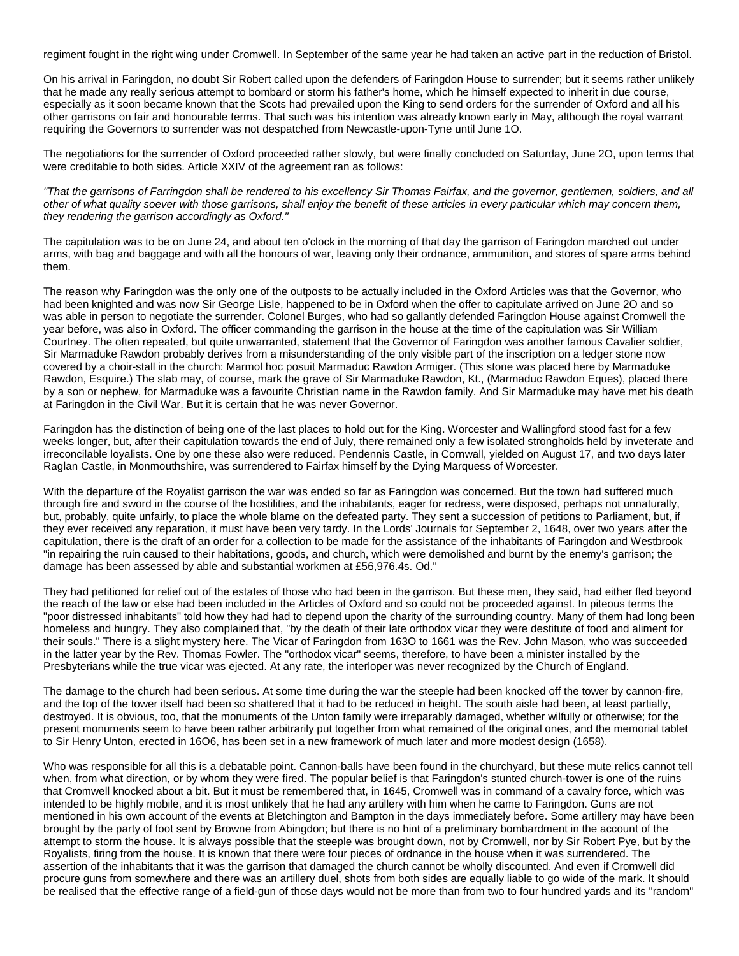regiment fought in the right wing under Cromwell. In September of the same year he had taken an active part in the reduction of Bristol.

On his arrival in Faringdon, no doubt Sir Robert called upon the defenders of Faringdon House to surrender; but it seems rather unlikely that he made any really serious attempt to bombard or storm his father's home, which he himself expected to inherit in due course, especially as it soon became known that the Scots had prevailed upon the King to send orders for the surrender of Oxford and all his other garrisons on fair and honourable terms. That such was his intention was already known early in May, although the royal warrant requiring the Governors to surrender was not despatched from Newcastle-upon-Tyne until June 1O.

The negotiations for the surrender of Oxford proceeded rather slowly, but were finally concluded on Saturday, June 2O, upon terms that were creditable to both sides. Article XXIV of the agreement ran as follows:

"That the garrisons of Farringdon shall be rendered to his excellency Sir Thomas Fairfax, and the governor, gentlemen, soldiers, and all other of what quality soever with those garrisons, shall enjoy the benefit of these articles in every particular which may concern them, they rendering the garrison accordingly as Oxford."

The capitulation was to be on June 24, and about ten o'clock in the morning of that day the garrison of Faringdon marched out under arms, with bag and baggage and with all the honours of war, leaving only their ordnance, ammunition, and stores of spare arms behind them.

The reason why Faringdon was the only one of the outposts to be actually included in the Oxford Articles was that the Governor, who had been knighted and was now Sir George Lisle, happened to be in Oxford when the offer to capitulate arrived on June 2O and so was able in person to negotiate the surrender. Colonel Burges, who had so gallantly defended Faringdon House against Cromwell the year before, was also in Oxford. The officer commanding the garrison in the house at the time of the capitulation was Sir William Courtney. The often repeated, but quite unwarranted, statement that the Governor of Faringdon was another famous Cavalier soldier, Sir Marmaduke Rawdon probably derives from a misunderstanding of the only visible part of the inscription on a ledger stone now covered by a choir-stall in the church: Marmol hoc posuit Marmaduc Rawdon Armiger. (This stone was placed here by Marmaduke Rawdon, Esquire.) The slab may, of course, mark the grave of Sir Marmaduke Rawdon, Kt., (Marmaduc Rawdon Eques), placed there by a son or nephew, for Marmaduke was a favourite Christian name in the Rawdon family. And Sir Marmaduke may have met his death at Faringdon in the Civil War. But it is certain that he was never Governor.

Faringdon has the distinction of being one of the last places to hold out for the King. Worcester and Wallingford stood fast for a few weeks longer, but, after their capitulation towards the end of July, there remained only a few isolated strongholds held by inveterate and irreconcilable loyalists. One by one these also were reduced. Pendennis Castle, in Cornwall, yielded on August 17, and two days later Raglan Castle, in Monmouthshire, was surrendered to Fairfax himself by the Dying Marquess of Worcester.

With the departure of the Royalist garrison the war was ended so far as Faringdon was concerned. But the town had suffered much through fire and sword in the course of the hostilities, and the inhabitants, eager for redress, were disposed, perhaps not unnaturally, but, probably, quite unfairly, to place the whole blame on the defeated party. They sent a succession of petitions to Parliament, but, if they ever received any reparation, it must have been very tardy. In the Lords' Journals for September 2, 1648, over two years after the capitulation, there is the draft of an order for a collection to be made for the assistance of the inhabitants of Faringdon and Westbrook "in repairing the ruin caused to their habitations, goods, and church, which were demolished and burnt by the enemy's garrison; the damage has been assessed by able and substantial workmen at £56,976.4s. Od."

They had petitioned for relief out of the estates of those who had been in the garrison. But these men, they said, had either fled beyond the reach of the law or else had been included in the Articles of Oxford and so could not be proceeded against. In piteous terms the "poor distressed inhabitants" told how they had had to depend upon the charity of the surrounding country. Many of them had long been homeless and hungry. They also complained that, "by the death of their late orthodox vicar they were destitute of food and aliment for their souls." There is a slight mystery here. The Vicar of Faringdon from 163O to 1661 was the Rev. John Mason, who was succeeded in the latter year by the Rev. Thomas Fowler. The "orthodox vicar" seems, therefore, to have been a minister installed by the Presbyterians while the true vicar was ejected. At any rate, the interloper was never recognized by the Church of England.

The damage to the church had been serious. At some time during the war the steeple had been knocked off the tower by cannon-fire, and the top of the tower itself had been so shattered that it had to be reduced in height. The south aisle had been, at least partially, destroyed. It is obvious, too, that the monuments of the Unton family were irreparably damaged, whether wilfully or otherwise; for the present monuments seem to have been rather arbitrarily put together from what remained of the original ones, and the memorial tablet to Sir Henry Unton, erected in 16O6, has been set in a new framework of much later and more modest design (1658).

Who was responsible for all this is a debatable point. Cannon-balls have been found in the churchyard, but these mute relics cannot tell when, from what direction, or by whom they were fired. The popular belief is that Faringdon's stunted church-tower is one of the ruins that Cromwell knocked about a bit. But it must be remembered that, in 1645, Cromwell was in command of a cavalry force, which was intended to be highly mobile, and it is most unlikely that he had any artillery with him when he came to Faringdon. Guns are not mentioned in his own account of the events at Bletchington and Bampton in the days immediately before. Some artillery may have been brought by the party of foot sent by Browne from Abingdon; but there is no hint of a preliminary bombardment in the account of the attempt to storm the house. It is always possible that the steeple was brought down, not by Cromwell, nor by Sir Robert Pye, but by the Royalists, firing from the house. It is known that there were four pieces of ordnance in the house when it was surrendered. The assertion of the inhabitants that it was the garrison that damaged the church cannot be wholly discounted. And even if Cromwell did procure guns from somewhere and there was an artillery duel, shots from both sides are equally liable to go wide of the mark. It should be realised that the effective range of a field-gun of those days would not be more than from two to four hundred yards and its "random"